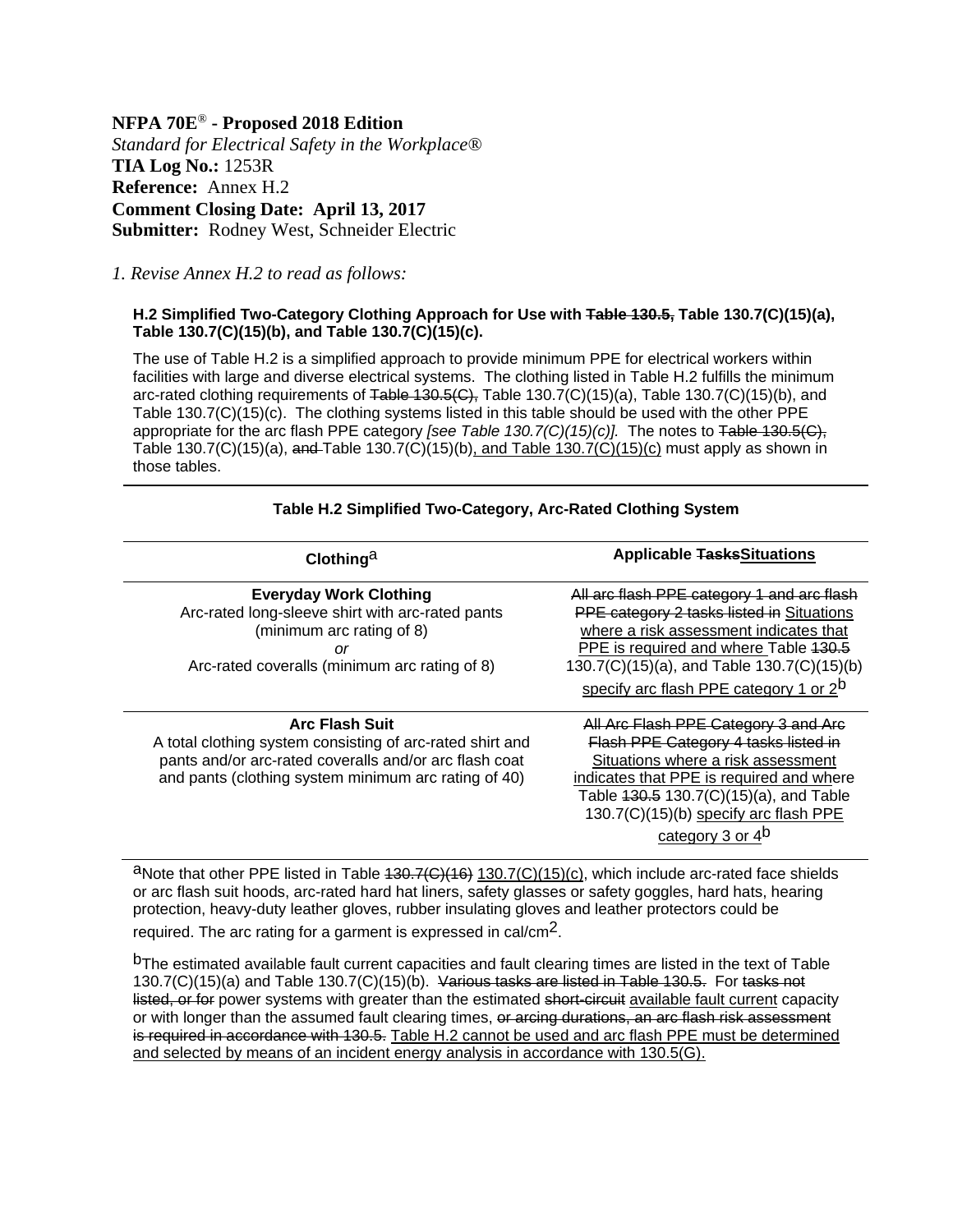**NFPA 70E***®* **- Proposed 2018 Edition**  *Standard for Electrical Safety in the Workplace®* **TIA Log No.:** 1253R **Reference:** Annex H.2 **Comment Closing Date: April 13, 2017 Submitter:** Rodney West, Schneider Electric

*1. Revise Annex H.2 to read as follows:* 

## **H.2 Simplified Two-Category Clothing Approach for Use with Table 130.5, Table 130.7(C)(15)(a), Table 130.7(C)(15)(b), and Table 130.7(C)(15)(c).**

The use of Table H.2 is a simplified approach to provide minimum PPE for electrical workers within facilities with large and diverse electrical systems. The clothing listed in Table H.2 fulfills the minimum arc-rated clothing requirements of Table 130.5(C), Table 130.7(C)(15)(a), Table 130.7(C)(15)(b), and Table 130.7(C)(15)(c). The clothing systems listed in this table should be used with the other PPE appropriate for the arc flash PPE category *[see Table 130.7(C)(15)(c)].* The notes to Table 130.5(C), Table 130.7(C)(15)(a), and Table 130.7(C)(15)(b), and Table 130.7(C)(15)(c) must apply as shown in those tables.

| Clothing <sup>a</sup>                                                                                                                                                                                | <b>Applicable TasksSituations</b>                                                                                                                                                                                                                                               |
|------------------------------------------------------------------------------------------------------------------------------------------------------------------------------------------------------|---------------------------------------------------------------------------------------------------------------------------------------------------------------------------------------------------------------------------------------------------------------------------------|
| <b>Everyday Work Clothing</b><br>Arc-rated long-sleeve shirt with arc-rated pants<br>(minimum arc rating of 8)<br>or<br>Arc-rated coveralls (minimum arc rating of 8)                                | All arc flash PPE category 1 and arc flash<br>PPE category 2 tasks listed in Situations<br>where a risk assessment indicates that<br>PPE is required and where Table 130.5<br>130.7(C)(15)(a), and Table 130.7(C)(15)(b)<br>specify arc flash PPE category 1 or 2 <sup>b</sup>  |
| <b>Arc Flash Suit</b><br>A total clothing system consisting of arc-rated shirt and<br>pants and/or arc-rated coveralls and/or arc flash coat<br>and pants (clothing system minimum arc rating of 40) | All Arc Flash PPE Category 3 and A<br>Flash PPE Category 4 tasks listed in<br>Situations where a risk assessment<br>indicates that PPE is required and where<br>Table 130.5 130.7(C)(15)(a), and Table<br>130.7(C)(15)(b) specify arc flash PPE<br>category 3 or 4 <sup>b</sup> |

**Table H.2 Simplified Two-Category, Arc-Rated Clothing System** 

aNote that other PPE listed in Table 430.7(C)(16) 130.7(C)(15)(c), which include arc-rated face shields or arc flash suit hoods, arc-rated hard hat liners, safety glasses or safety goggles, hard hats, hearing protection, heavy-duty leather gloves, rubber insulating gloves and leather protectors could be required. The arc rating for a garment is expressed in cal/cm2.

bThe estimated available fault current capacities and fault clearing times are listed in the text of Table 130.7(C)(15)(a) and Table 130.7(C)(15)(b). Various tasks are listed in Table 130.5. For tasks not listed, or for power systems with greater than the estimated short-circuit available fault current capacity or with longer than the assumed fault clearing times, or arcing durations, an arc flash risk assessment is required in accordance with 130.5. Table H.2 cannot be used and arc flash PPE must be determined and selected by means of an incident energy analysis in accordance with 130.5(G).